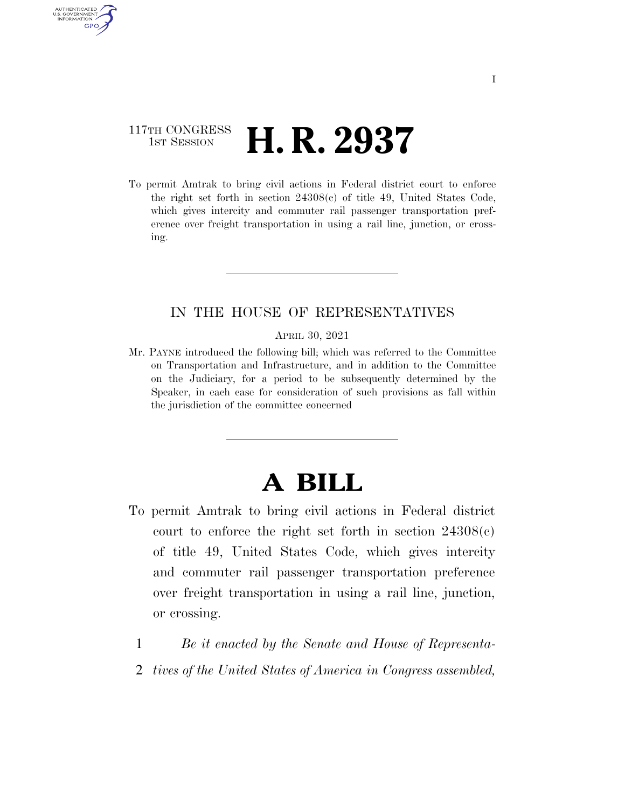## 117TH CONGRESS **1st Session H. R. 2937**

AUTHENTICATED U.S. GOVERNMENT **GPO** 

> To permit Amtrak to bring civil actions in Federal district court to enforce the right set forth in section 24308(c) of title 49, United States Code, which gives intercity and commuter rail passenger transportation preference over freight transportation in using a rail line, junction, or crossing.

## IN THE HOUSE OF REPRESENTATIVES

APRIL 30, 2021

Mr. PAYNE introduced the following bill; which was referred to the Committee on Transportation and Infrastructure, and in addition to the Committee on the Judiciary, for a period to be subsequently determined by the Speaker, in each case for consideration of such provisions as fall within the jurisdiction of the committee concerned

## **A BILL**

- To permit Amtrak to bring civil actions in Federal district court to enforce the right set forth in section  $24308(c)$ of title 49, United States Code, which gives intercity and commuter rail passenger transportation preference over freight transportation in using a rail line, junction, or crossing.
	- 1 *Be it enacted by the Senate and House of Representa-*
	- 2 *tives of the United States of America in Congress assembled,*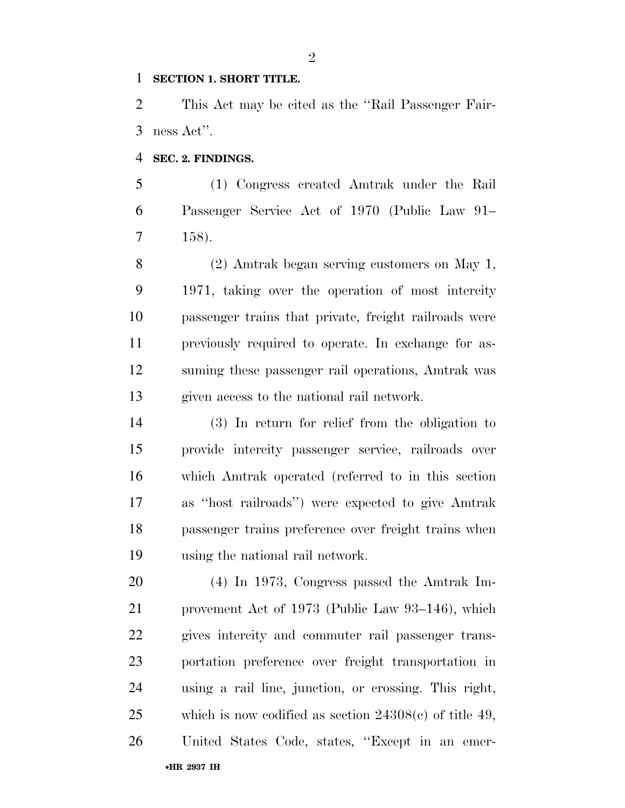## **SECTION 1. SHORT TITLE.**

 This Act may be cited as the ''Rail Passenger Fair-ness Act''.

**SEC. 2. FINDINGS.** 

•**HR 2937 IH**

 (1) Congress created Amtrak under the Rail Passenger Service Act of 1970 (Public Law 91– 158).

 (2) Amtrak began serving customers on May 1, 1971, taking over the operation of most intercity passenger trains that private, freight railroads were previously required to operate. In exchange for as- suming these passenger rail operations, Amtrak was given access to the national rail network.

 (3) In return for relief from the obligation to provide intercity passenger service, railroads over which Amtrak operated (referred to in this section as ''host railroads'') were expected to give Amtrak passenger trains preference over freight trains when using the national rail network.

 (4) In 1973, Congress passed the Amtrak Im- provement Act of 1973 (Public Law 93–146), which gives intercity and commuter rail passenger trans- portation preference over freight transportation in using a rail line, junction, or crossing. This right, which is now codified as section 24308(c) of title 49, United States Code, states, ''Except in an emer-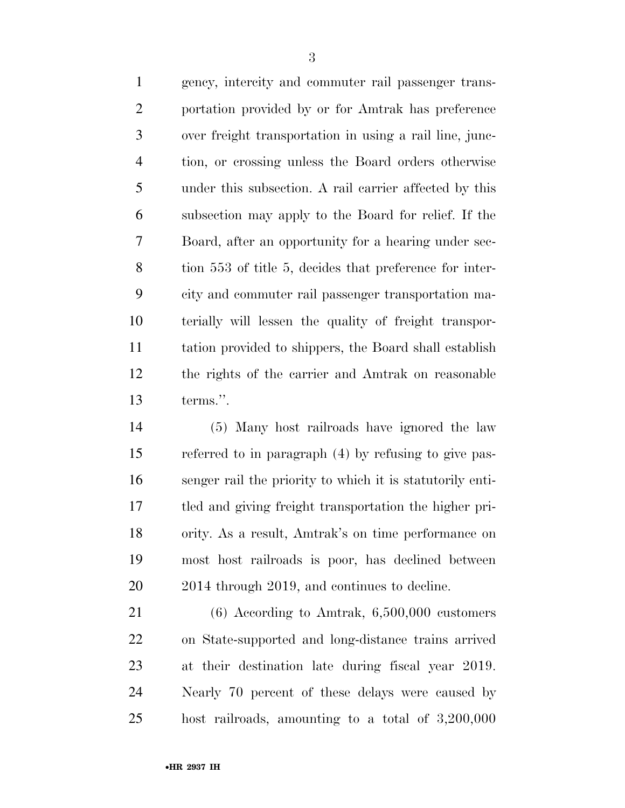gency, intercity and commuter rail passenger trans- portation provided by or for Amtrak has preference over freight transportation in using a rail line, junc- tion, or crossing unless the Board orders otherwise under this subsection. A rail carrier affected by this subsection may apply to the Board for relief. If the Board, after an opportunity for a hearing under sec- tion 553 of title 5, decides that preference for inter- city and commuter rail passenger transportation ma- terially will lessen the quality of freight transpor- tation provided to shippers, the Board shall establish the rights of the carrier and Amtrak on reasonable terms.''.

 (5) Many host railroads have ignored the law referred to in paragraph (4) by refusing to give pas- senger rail the priority to which it is statutorily enti- tled and giving freight transportation the higher pri- ority. As a result, Amtrak's on time performance on most host railroads is poor, has declined between 2014 through 2019, and continues to decline.

 (6) According to Amtrak, 6,500,000 customers on State-supported and long-distance trains arrived at their destination late during fiscal year 2019. Nearly 70 percent of these delays were caused by host railroads, amounting to a total of 3,200,000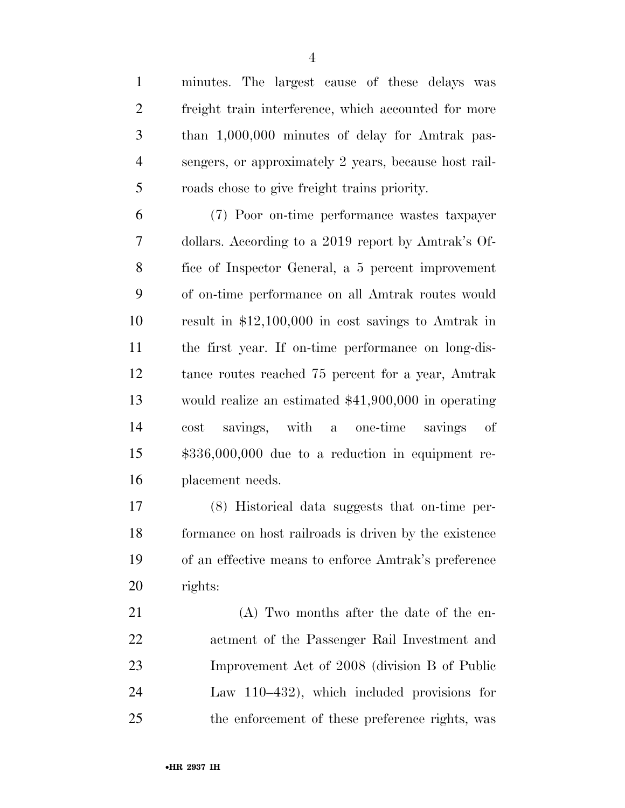freight train interference, which accounted for more than 1,000,000 minutes of delay for Amtrak pas- sengers, or approximately 2 years, because host rail-roads chose to give freight trains priority.

 (7) Poor on-time performance wastes taxpayer dollars. According to a 2019 report by Amtrak's Of- fice of Inspector General, a 5 percent improvement of on-time performance on all Amtrak routes would result in \$12,100,000 in cost savings to Amtrak in the first year. If on-time performance on long-dis- tance routes reached 75 percent for a year, Amtrak would realize an estimated \$41,900,000 in operating cost savings, with a one-time savings of \$336,000,000 due to a reduction in equipment re-placement needs.

 (8) Historical data suggests that on-time per- formance on host railroads is driven by the existence of an effective means to enforce Amtrak's preference rights:

 (A) Two months after the date of the en- actment of the Passenger Rail Investment and Improvement Act of 2008 (division B of Public Law 110–432), which included provisions for the enforcement of these preference rights, was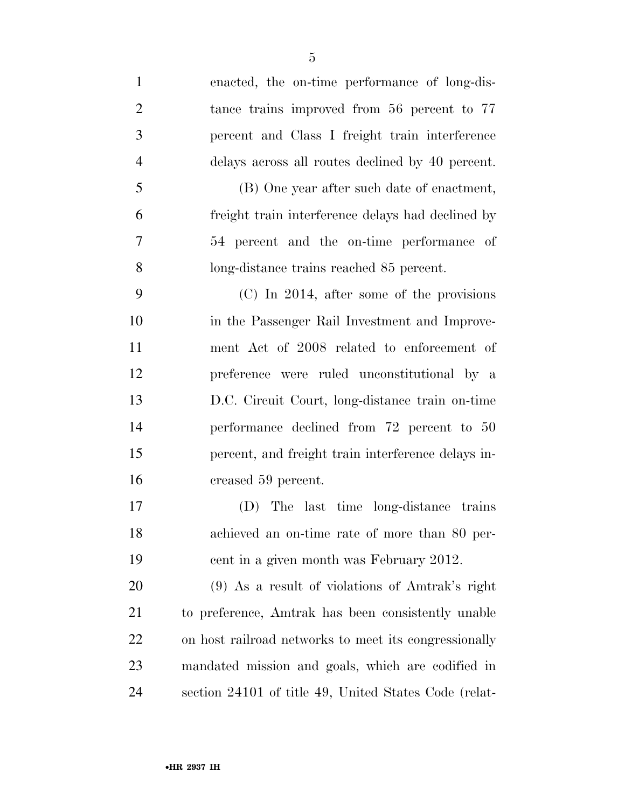| $\mathbf{1}$   | enacted, the on-time performance of long-dis-         |
|----------------|-------------------------------------------------------|
| $\overline{2}$ | tance trains improved from 56 percent to 77           |
| 3              | percent and Class I freight train interference        |
| $\overline{4}$ | delays across all routes declined by 40 percent.      |
| 5              | (B) One year after such date of enactment,            |
| 6              | freight train interference delays had declined by     |
| 7              | 54 percent and the on-time performance of             |
| 8              | long-distance trains reached 85 percent.              |
| 9              | $(C)$ In 2014, after some of the provisions           |
| 10             | in the Passenger Rail Investment and Improve-         |
| 11             | ment Act of 2008 related to enforcement of            |
| 12             | preference were ruled unconstitutional by a           |
| 13             | D.C. Circuit Court, long-distance train on-time       |
| 14             | performance declined from 72 percent to 50            |
| 15             | percent, and freight train interference delays in-    |
| 16             | creased 59 percent.                                   |
| 17             | (D) The last time long-distance trains                |
| 18             | achieved an on-time rate of more than 80 per-         |
| 19             | cent in a given month was February 2012.              |
| <b>20</b>      | (9) As a result of violations of Amtrak's right       |
| 21             | to preference, Amtrak has been consistently unable    |
| 22             | on host railroad networks to meet its congressionally |
| 23             | mandated mission and goals, which are codified in     |
| 24             | section 24101 of title 49, United States Code (relat- |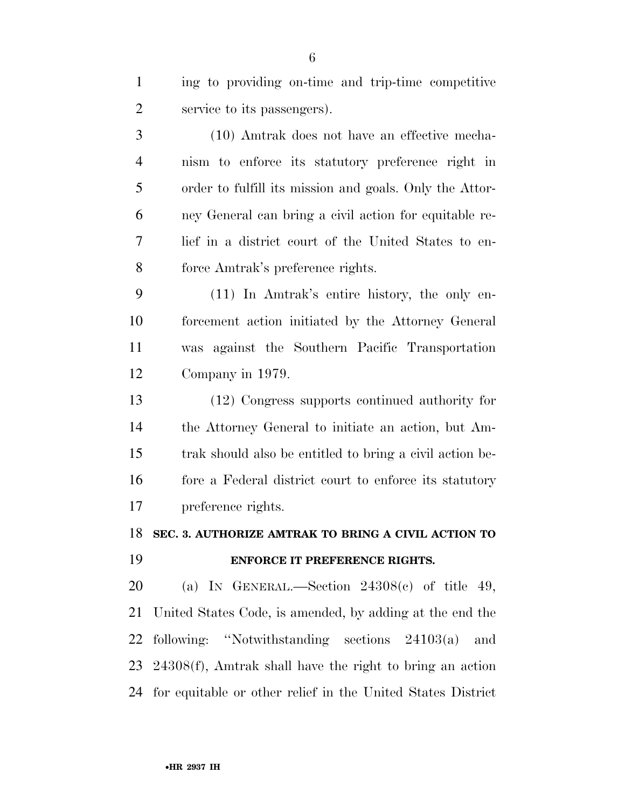| $\mathbf{1}$   | ing to providing on-time and trip-time competitive          |
|----------------|-------------------------------------------------------------|
| $\overline{c}$ | service to its passengers).                                 |
| 3              | (10) Amtrak does not have an effective mecha-               |
| $\overline{4}$ | nism to enforce its statutory preference right in           |
| 5              | order to fulfill its mission and goals. Only the Attor-     |
| 6              | ney General can bring a civil action for equitable re-      |
| 7              | lief in a district court of the United States to en-        |
| 8              | force Amtrak's preference rights.                           |
| 9              | (11) In Amtrak's entire history, the only en-               |
| 10             | forcement action initiated by the Attorney General          |
| 11             | was against the Southern Pacific Transportation             |
| 12             | Company in 1979.                                            |
| 13             | (12) Congress supports continued authority for              |
| 14             | the Attorney General to initiate an action, but Am-         |
| 15             | trak should also be entitled to bring a civil action be-    |
| 16             | fore a Federal district court to enforce its statutory      |
| 17             | preference rights.                                          |
| 18             | SEC. 3. AUTHORIZE AMTRAK TO BRING A CIVIL ACTION TO         |
| 19             | ENFORCE IT PREFERENCE RIGHTS.                               |
| 20             | (a) IN GENERAL.—Section $24308(c)$ of title 49,             |
| 21             | United States Code, is amended, by adding at the end the    |
| 22             | following: "Notwithstanding sections $24103(a)$<br>and      |
| 23             | $24308(f)$ , Amtrak shall have the right to bring an action |

for equitable or other relief in the United States District